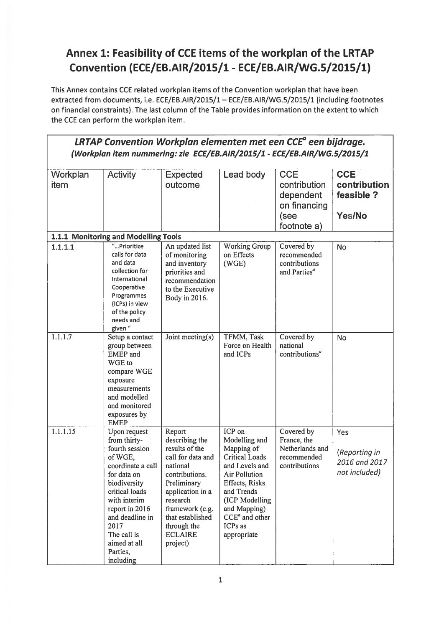## Annex 1: Feasibility of CCE items of the workplan of the LRTAP Convention (ECE/EB.AIR/2015/1 - ECE/EB.AIR/WG.5/2015/1)

This Annex contains CCE related workplan items of the Convention workplan that have been extracted from documents, i.e. ECE/EB.AIR/2015/1 - ECE/EB.AIR/WG.5/2015/1 (including footnotes on financial constraints). The last column of the Table provides information on the extent to which the CCE can perform the workplan item.

| LRTAP Convention Workplan elementen met een CCE <sup>a</sup> een bijdrage.<br>(Workplan item nummering: zie ECE/EB.AIR/2015/1 - ECE/EB.AIR/WG.5/2015/1 |                                                                                                                                                                                                                                                      |                                                                                                                                                                                                                                  |                                                                                                                                                                                                                          |                                                                                |                                                        |  |
|--------------------------------------------------------------------------------------------------------------------------------------------------------|------------------------------------------------------------------------------------------------------------------------------------------------------------------------------------------------------------------------------------------------------|----------------------------------------------------------------------------------------------------------------------------------------------------------------------------------------------------------------------------------|--------------------------------------------------------------------------------------------------------------------------------------------------------------------------------------------------------------------------|--------------------------------------------------------------------------------|--------------------------------------------------------|--|
| Workplan<br>item                                                                                                                                       | <b>Activity</b>                                                                                                                                                                                                                                      | <b>Expected</b><br>outcome                                                                                                                                                                                                       | Lead body                                                                                                                                                                                                                | <b>CCE</b><br>contribution<br>dependent<br>on financing<br>(see<br>footnote a) | <b>CCE</b><br>contribution<br>feasible ?<br>Yes/No     |  |
|                                                                                                                                                        | 1.1.1 Monitoring and Modelling Tools                                                                                                                                                                                                                 |                                                                                                                                                                                                                                  |                                                                                                                                                                                                                          |                                                                                |                                                        |  |
| 1.1.1.1                                                                                                                                                | "Prioritize<br>calls for data<br>and data<br>collection for<br>International<br>Cooperative<br>Programmes<br>(ICPs) in view<br>of the policy<br>needs and<br>given "                                                                                 | An updated list<br>of monitoring<br>and inventory<br>priorities and<br>recommendation<br>to the Executive<br>Body in 2016.                                                                                                       | Working Group<br>on Effects<br>(WGE)                                                                                                                                                                                     | Covered by<br>recommended<br>contributions<br>and Parties <sup>a</sup>         | <b>No</b>                                              |  |
| 1.1.1.7                                                                                                                                                | Setup a contact<br>group between<br><b>EMEP</b> and<br>WGE to<br>compare WGE<br>exposure<br>measurements<br>and modelled<br>and monitored<br>exposures by<br><b>EMEP</b>                                                                             | Joint meeting(s)                                                                                                                                                                                                                 | TFMM, Task<br>Force on Health<br>and ICPs                                                                                                                                                                                | Covered by<br>national<br>contributions <sup>a</sup>                           | No                                                     |  |
| 1.1.1.15                                                                                                                                               | Upon request<br>from thirty-<br>fourth session<br>of WGE.<br>coordinate a call<br>for data on<br>biodiversity<br>critical loads<br>with interim<br>report in 2016<br>and deadline in<br>2017<br>The call is<br>aimed at all<br>Parties,<br>including | Report<br>describing the<br>results of the<br>call for data and<br>national<br>contributions.<br>Preliminary<br>application in a<br>research<br>framework (e.g.<br>that established<br>through the<br><b>ECLAIRE</b><br>project) | ICP on<br>Modelling and<br>Mapping of<br><b>Critical Loads</b><br>and Levels and<br><b>Air Pollution</b><br>Effects, Risks<br>and Trends<br>(ICP Modelling<br>and Mapping)<br>$CCEa$ and other<br>ICPs as<br>appropriate | Covered by<br>France, the<br>Netherlands and<br>recommended<br>contributions   | Yes<br>(Reporting in<br>2016 and 2017<br>not included) |  |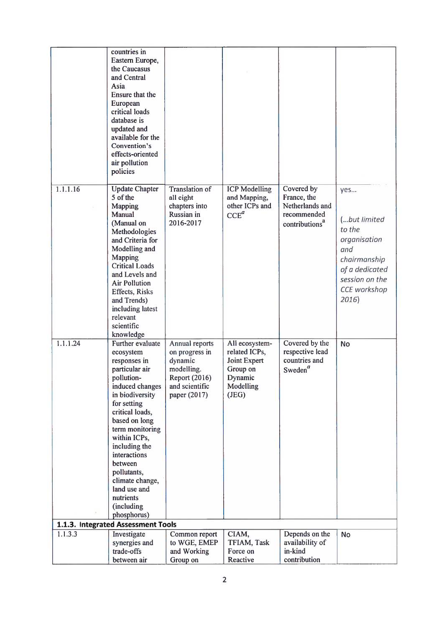|                                    | countries in<br>Eastern Europe,<br>the Caucasus<br>and Central<br>Asia<br>Ensure that the<br>European<br>critical loads<br>database is<br>updated and<br>available for the<br>Convention's<br>effects-oriented<br>air pollution<br>policies                                                                                                       |                                                                                                              |                                                                                              |                                                                                           |                                                                                                                                   |  |
|------------------------------------|---------------------------------------------------------------------------------------------------------------------------------------------------------------------------------------------------------------------------------------------------------------------------------------------------------------------------------------------------|--------------------------------------------------------------------------------------------------------------|----------------------------------------------------------------------------------------------|-------------------------------------------------------------------------------------------|-----------------------------------------------------------------------------------------------------------------------------------|--|
| 1.1.1.16                           | <b>Update Chapter</b><br>5 of the<br>Mapping<br>Manual<br>(Manual on<br>Methodologies<br>and Criteria for<br>Modelling and<br>Mapping<br><b>Critical Loads</b><br>and Levels and<br><b>Air Pollution</b><br>Effects, Risks<br>and Trends)<br>including latest<br>relevant<br>scientific<br>knowledge                                              | <b>Translation of</b><br>all eight<br>chapters into<br>Russian in<br>2016-2017                               | <b>ICP</b> Modelling<br>and Mapping,<br>other ICPs and<br>$CCE^a$                            | Covered by<br>France, the<br>Netherlands and<br>recommended<br>contributions <sup>a</sup> | yes<br>(but limited<br>to the<br>organisation<br>and<br>chairmanship<br>of a dedicated<br>session on the<br>CCE workshop<br>2016) |  |
| 1.1.1.24                           | Further evaluate<br>ecosystem<br>responses in<br>particular air<br>pollution-<br>induced changes<br>in biodiversity<br>for setting<br>critical loads,<br>based on long<br>term monitoring<br>within ICPs,<br>including the<br>interactions<br>between<br>pollutants,<br>climate change,<br>land use and<br>nutrients<br>(including<br>phosphorus) | Annual reports<br>on progress in<br>dynamic<br>modelling.<br>Report (2016)<br>and scientific<br>paper (2017) | All ecosystem-<br>related ICPs,<br>Joint Expert<br>Group on<br>Dynamic<br>Modelling<br>(JEG) | Covered by the<br>respective lead<br>countries and<br>Sweden $a$                          | <b>No</b>                                                                                                                         |  |
| 1.1.3. Integrated Assessment Tools |                                                                                                                                                                                                                                                                                                                                                   |                                                                                                              |                                                                                              |                                                                                           |                                                                                                                                   |  |
| 1.1.3.3                            | Investigate<br>synergies and<br>trade-offs                                                                                                                                                                                                                                                                                                        | Common report<br>to WGE, EMEP<br>and Working                                                                 | CIAM,<br>TFIAM, Task<br>Force on                                                             | Depends on the<br>availability of<br>in-kind                                              | <b>No</b>                                                                                                                         |  |
|                                    | between air                                                                                                                                                                                                                                                                                                                                       | Group on                                                                                                     | Reactive                                                                                     | contribution                                                                              |                                                                                                                                   |  |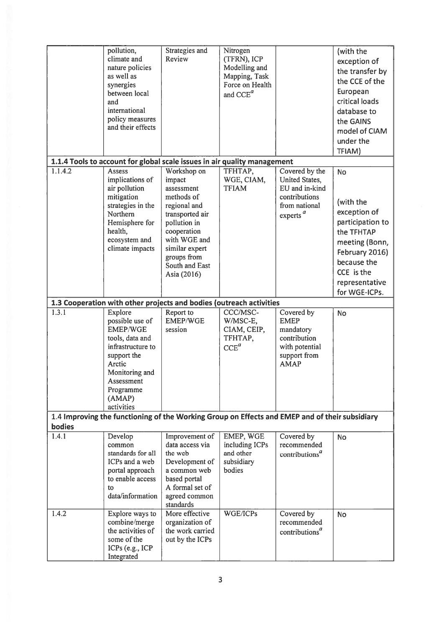|                                                                                                | pollution,<br>climate and<br>nature policies<br>as well as<br>synergies<br>between local<br>and<br>international<br>policy measures<br>and their effects                            | Strategies and<br>Review                                                                                                                                                                              | Nitrogen<br>(TFRN), ICP<br>Modelling and<br>Mapping, Task<br>Force on Health<br>and CCE <sup>a</sup> |                                                                                                                           | (with the<br>exception of<br>the transfer by<br>the CCE of the<br>European<br>critical loads<br>database to<br>the GAINS<br>model of CIAM<br>under the<br>TFIAM)             |  |
|------------------------------------------------------------------------------------------------|-------------------------------------------------------------------------------------------------------------------------------------------------------------------------------------|-------------------------------------------------------------------------------------------------------------------------------------------------------------------------------------------------------|------------------------------------------------------------------------------------------------------|---------------------------------------------------------------------------------------------------------------------------|------------------------------------------------------------------------------------------------------------------------------------------------------------------------------|--|
|                                                                                                | 1.1.4 Tools to account for global scale issues in air quality management                                                                                                            |                                                                                                                                                                                                       |                                                                                                      |                                                                                                                           |                                                                                                                                                                              |  |
| 1.1.4.2                                                                                        | Assess<br>implications of<br>air pollution<br>mitigation<br>strategies in the<br>Northern<br>Hemisphere for<br>health,<br>ecosystem and<br>climate impacts                          | Workshop on<br>impact<br>assessment<br>methods of<br>regional and<br>transported air<br>pollution in<br>cooperation<br>with WGE and<br>similar expert<br>groups from<br>South and East<br>Asia (2016) | TFHTAP,<br>WGE, CIAM,<br><b>TFIAM</b>                                                                | Covered by the<br>United States,<br>EU and in-kind<br>contributions<br>from national<br>experts <sup><math>a</math></sup> | <b>No</b><br>(with the<br>exception of<br>participation to<br>the TFHTAP<br>meeting (Bonn,<br>February 2016)<br>because the<br>CCE is the<br>representative<br>for WGE-ICPs. |  |
|                                                                                                | 1.3 Cooperation with other projects and bodies (outreach activities                                                                                                                 |                                                                                                                                                                                                       |                                                                                                      |                                                                                                                           |                                                                                                                                                                              |  |
| 1.3.1                                                                                          | Explore<br>possible use of<br><b>EMEP/WGE</b><br>tools, data and<br>infrastructure to<br>support the<br>Arctic<br>Monitoring and<br>Assessment<br>Programme<br>(AMAP)<br>activities | Report to<br><b>EMEP/WGE</b><br>session                                                                                                                                                               | CCC/MSC-<br>W/MSC-E,<br>CIAM, CEIP,<br>TFHTAP,<br>$CCE^a$                                            | Covered by<br><b>EMEP</b><br>mandatory<br>contribution<br>with potential<br>support from<br><b>AMAP</b>                   | <b>No</b>                                                                                                                                                                    |  |
| 1.4 Improving the functioning of the Working Group on Effects and EMEP and of their subsidiary |                                                                                                                                                                                     |                                                                                                                                                                                                       |                                                                                                      |                                                                                                                           |                                                                                                                                                                              |  |
| bodies<br>1.4.1                                                                                | Develop<br>common<br>standards for all<br>ICPs and a web<br>portal approach<br>to enable access<br>to<br>data/information                                                           | Improvement of<br>data access via<br>the web<br>Development of<br>a common web<br>based portal<br>A formal set of<br>agreed common<br>standards                                                       | EMEP, WGE<br>including ICPs<br>and other<br>subsidiary<br>bodies                                     | Covered by<br>recommended<br>contributions <sup>a</sup>                                                                   | <b>No</b>                                                                                                                                                                    |  |
| 1.4.2                                                                                          | Explore ways to<br>combine/merge<br>the activities of<br>some of the<br>ICPs (e.g., ICP<br>Integrated                                                                               | More effective<br>organization of<br>the work carried<br>out by the ICPs                                                                                                                              | WGE/ICPs                                                                                             | Covered by<br>recommended<br>contributions <sup><math>a</math></sup>                                                      | <b>No</b>                                                                                                                                                                    |  |